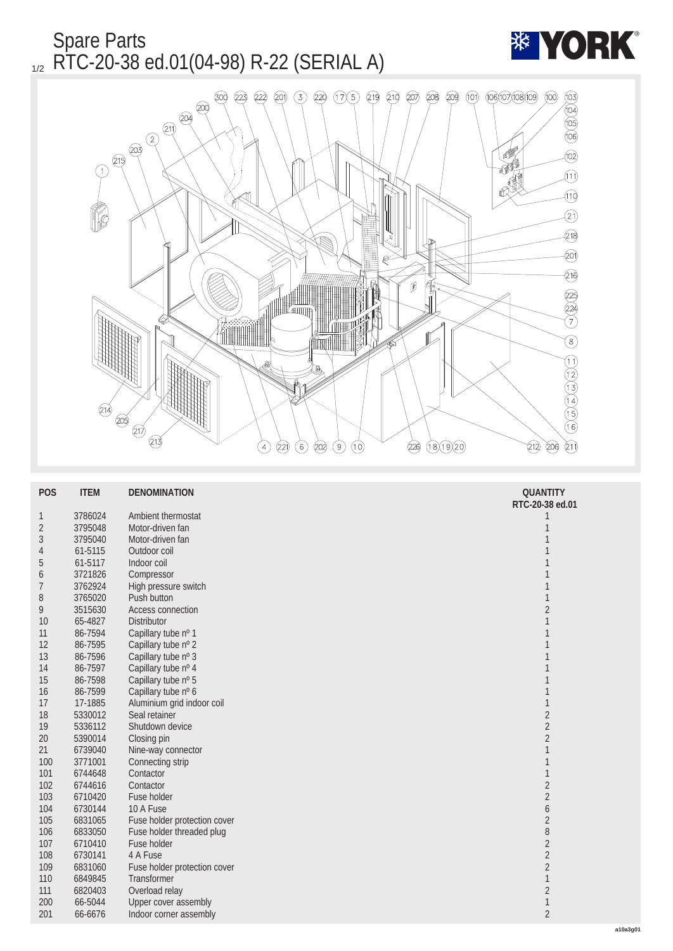Spare Parts  $_{1/2}$  RTC-20-38 ed.01(04-98) R-22 (SERIAL A)



| <b>POS</b>       | <b>ITEM</b> | <b>DENOMINATION</b>          | <b>QUANTITY</b><br>RTC-20-38 ed.01 |
|------------------|-------------|------------------------------|------------------------------------|
| $\mathbf{1}$     | 3786024     | <b>Ambient thermostat</b>    | 1                                  |
| $\boldsymbol{2}$ | 3795048     | Motor-driven fan             | 1                                  |
| 3                | 3795040     | Motor-driven fan             | 1                                  |
| 4                | 61-5115     | Outdoor coil                 | 1                                  |
| 5                | 61-5117     | Indoor coil                  | 1                                  |
| 6                | 3721826     | Compressor                   | 1                                  |
| 7                | 3762924     | High pressure switch         | 1                                  |
| 8                | 3765020     | <b>Push button</b>           | 1                                  |
| 9                | 3515630     | <b>Access connection</b>     | $\boldsymbol{2}$                   |
| 10               | 65-4827     | <b>Distributor</b>           | 1                                  |
| 11               | 86-7594     | Capillary tube nº 1          | 1                                  |
| 12               | 86-7595     | Capillary tube nº 2          | 1                                  |
| 13               | 86-7596     | Capillary tube nº 3          | 1                                  |
| 14               | 86-7597     | Capillary tube nº 4          | 1                                  |
| 15               | 86-7598     | Capillary tube nº 5          | 1                                  |
| 16               | 86-7599     | Capillary tube nº 6          | 1                                  |
| 17               | 17-1885     | Aluminium grid indoor coil   | $\mathbf{1}$                       |
| 18               | 5330012     | Seal retainer                | $\sqrt{2}$                         |
| 19               | 5336112     | Shutdown device              | $\overline{c}$                     |
| $20\,$           | 5390014     | Closing pin                  | $\overline{c}$                     |
| 21               | 6739040     | Nine-way connector           | $\mathbf{1}$                       |
| 100              | 3771001     | Connecting strip             | $\mathbf{1}$                       |
| 101              | 6744648     | Contactor                    | $\mathbf{1}$                       |
| 102              | 6744616     | Contactor                    | $\sqrt{2}$                         |
| 103              | 6710420     | <b>Fuse holder</b>           | $\sqrt{2}$                         |
| 104              | 6730144     | 10 A Fuse                    | $\boldsymbol{6}$                   |
| 105              | 6831065     | Fuse holder protection cover | $\sqrt{2}$                         |
| 106              | 6833050     | Fuse holder threaded plug    | 8                                  |
| 107              | 6710410     | <b>Fuse holder</b>           | $\boldsymbol{2}$                   |
| 108              | 6730141     | 4 A Fuse                     | $\boldsymbol{2}$                   |
| 109              | 6831060     | Fuse holder protection cover | $\sqrt{2}$                         |
| 110              | 6849845     | <b>Transformer</b>           | 1                                  |
| 111              | 6820403     | Overload relay               | $\boldsymbol{2}$                   |
| 200              | 66-5044     | <b>Upper cover assembly</b>  | 1                                  |
| 201              | 66-6676     | Indoor corner assembly       | $\boldsymbol{2}$                   |
|                  |             |                              |                                    |

**\*\* YORK**